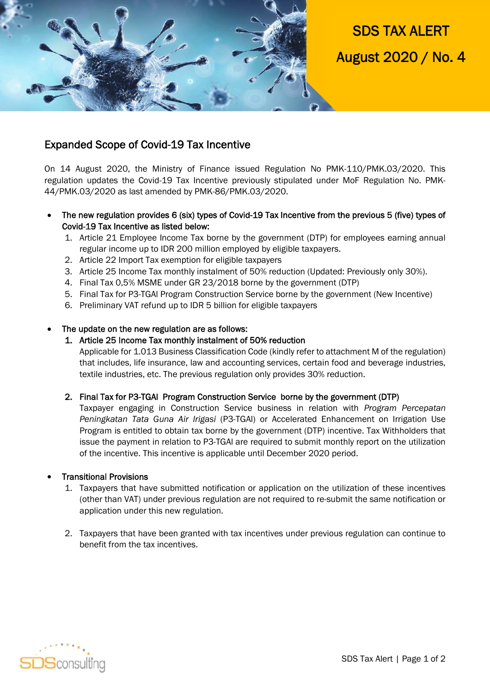

SDS TAX ALERT August 2020 / No. 4

# Expanded Scope of Covid-19 Tax Incentive

On 14 August 2020, the Ministry of Finance issued Regulation No PMK-110/PMK.03/2020. This regulation updates the Covid-19 Tax Incentive previously stipulated under MoF Regulation No. PMK-44/PMK.03/2020 as last amended by PMK-86/PMK.03/2020.

- The new regulation provides 6 (six) types of Covid-19 Tax Incentive from the previous 5 (five) types of Covid-19 Tax Incentive as listed below:
	- 1. Article 21 Employee Income Tax borne by the government (DTP) for employees earning annual regular income up to IDR 200 million employed by eligible taxpayers.
	- 2. Article 22 Import Tax exemption for eligible taxpayers
	- 3. Article 25 Income Tax monthly instalment of 50% reduction (Updated: Previously only 30%).
	- 4. Final Tax 0,5% MSME under GR 23/2018 borne by the government (DTP)
	- 5. Final Tax for P3-TGAl Program Construction Service borne by the government (New Incentive)
	- 6. Preliminary VAT refund up to IDR 5 billion for eligible taxpayers

### The update on the new regulation are as follows:

#### 1. Article 25 Income Tax monthly instalment of 50% reduction

Applicable for 1.013 Business Classification Code (kindly refer to attachment M of the regulation) that includes, life insurance, law and accounting services, certain food and beverage industries, textile industries, etc. The previous regulation only provides 30% reduction.

### 2. Final Tax for P3-TGAl Program Construction Service borne by the government (DTP)

Taxpayer engaging in Construction Service business in relation with *Program Percepatan Peningkatan Tata Guna Air Irigasi* (P3-TGAl) or Accelerated Enhancement on Irrigation Use Program is entitled to obtain tax borne by the government (DTP) incentive. Tax Withholders that issue the payment in relation to P3-TGAl are required to submit monthly report on the utilization of the incentive. This incentive is applicable until December 2020 period.

#### Transitional Provisions

- 1. Taxpayers that have submitted notification or application on the utilization of these incentives (other than VAT) under previous regulation are not required to re-submit the same notification or application under this new regulation.
- 2. Taxpayers that have been granted with tax incentives under previous regulation can continue to benefit from the tax incentives.